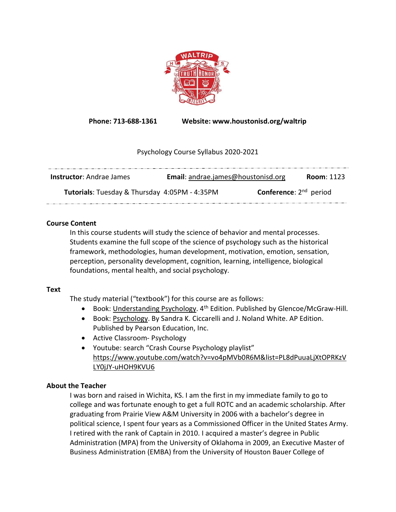

Phone: 713-688-1361 Website: www.houstonisd.org/waltrip

# Psychology Course Syllabus 2020-2021

| <b>Instructor:</b> Andrae James                      | Email: andrae.james@houstonisd.org | <b>Room: 1123</b> |
|------------------------------------------------------|------------------------------------|-------------------|
| <b>Tutorials:</b> Tuesday & Thursday 4:05PM - 4:35PM | <b>Conference:</b> $2^{nd}$ period |                   |

### Course Content

In this course students will study the science of behavior and mental processes. Students examine the full scope of the science of psychology such as the historical framework, methodologies, human development, motivation, emotion, sensation, perception, personality development, cognition, learning, intelligence, biological foundations, mental health, and social psychology.

### Text

The study material ("textbook") for this course are as follows:

- **Book: Understanding Psychology.**  $4^{th}$  Edition. Published by Glencoe/McGraw-Hill.
- Book: Psychology. By Sandra K. Ciccarelli and J. Noland White. AP Edition. Published by Pearson Education, Inc.
- Active Classroom- Psychology
- Youtube: search "Crash Course Psychology playlist" https://www.youtube.com/watch?v=vo4pMVb0R6M&list=PL8dPuuaLjXtOPRKzV LY0jJY-uHOH9KVU6

# About the Teacher

I was born and raised in Wichita, KS. I am the first in my immediate family to go to college and was fortunate enough to get a full ROTC and an academic scholarship. After graduating from Prairie View A&M University in 2006 with a bachelor's degree in political science, I spent four years as a Commissioned Officer in the United States Army. I retired with the rank of Captain in 2010. I acquired a master's degree in Public Administration (MPA) from the University of Oklahoma in 2009, an Executive Master of Business Administration (EMBA) from the University of Houston Bauer College of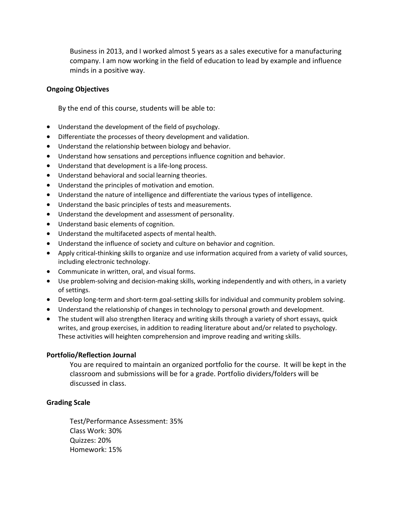Business in 2013, and I worked almost 5 years as a sales executive for a manufacturing company. I am now working in the field of education to lead by example and influence minds in a positive way.

### Ongoing Objectives

By the end of this course, students will be able to:

- Understand the development of the field of psychology.
- Differentiate the processes of theory development and validation.
- Understand the relationship between biology and behavior.
- Understand how sensations and perceptions influence cognition and behavior.
- Understand that development is a life-long process.
- Understand behavioral and social learning theories.
- Understand the principles of motivation and emotion.
- Understand the nature of intelligence and differentiate the various types of intelligence.
- Understand the basic principles of tests and measurements.
- Understand the development and assessment of personality.
- Understand basic elements of cognition.
- Understand the multifaceted aspects of mental health.
- Understand the influence of society and culture on behavior and cognition.
- Apply critical-thinking skills to organize and use information acquired from a variety of valid sources, including electronic technology.
- Communicate in written, oral, and visual forms.
- Use problem-solving and decision-making skills, working independently and with others, in a variety of settings.
- Develop long-term and short-term goal-setting skills for individual and community problem solving.
- Understand the relationship of changes in technology to personal growth and development.
- The student will also strengthen literacy and writing skills through a variety of short essays, quick writes, and group exercises, in addition to reading literature about and/or related to psychology. These activities will heighten comprehension and improve reading and writing skills.

#### Portfolio/Reflection Journal

You are required to maintain an organized portfolio for the course. It will be kept in the classroom and submissions will be for a grade. Portfolio dividers/folders will be discussed in class.

### Grading Scale

Test/Performance Assessment: 35% Class Work: 30% Quizzes: 20% Homework: 15%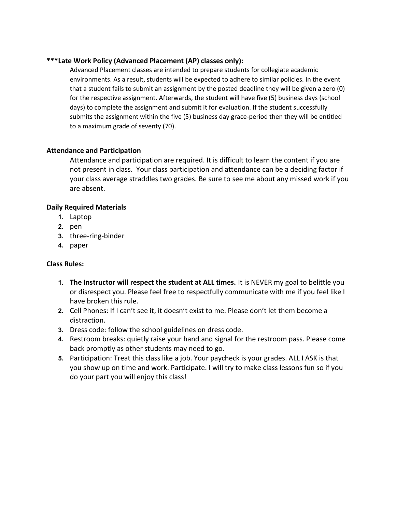### \*\*\*Late Work Policy (Advanced Placement (AP) classes only):

Advanced Placement classes are intended to prepare students for collegiate academic environments. As a result, students will be expected to adhere to similar policies. In the event that a student fails to submit an assignment by the posted deadline they will be given a zero (0) for the respective assignment. Afterwards, the student will have five (5) business days (school days) to complete the assignment and submit it for evaluation. If the student successfully submits the assignment within the five (5) business day grace-period then they will be entitled to a maximum grade of seventy (70).

### Attendance and Participation

Attendance and participation are required. It is difficult to learn the content if you are not present in class. Your class participation and attendance can be a deciding factor if your class average straddles two grades. Be sure to see me about any missed work if you are absent.

### Daily Required Materials

- 1. Laptop
- 2. pen
- 3. three-ring-binder
- 4. paper

# Class Rules:

- 1. The Instructor will respect the student at ALL times. It is NEVER my goal to belittle you or disrespect you. Please feel free to respectfully communicate with me if you feel like I have broken this rule.
- 2. Cell Phones: If I can't see it, it doesn't exist to me. Please don't let them become a distraction.
- 3. Dress code: follow the school guidelines on dress code.
- 4. Restroom breaks: quietly raise your hand and signal for the restroom pass. Please come back promptly as other students may need to go.
- 5. Participation: Treat this class like a job. Your paycheck is your grades. ALL I ASK is that you show up on time and work. Participate. I will try to make class lessons fun so if you do your part you will enjoy this class!